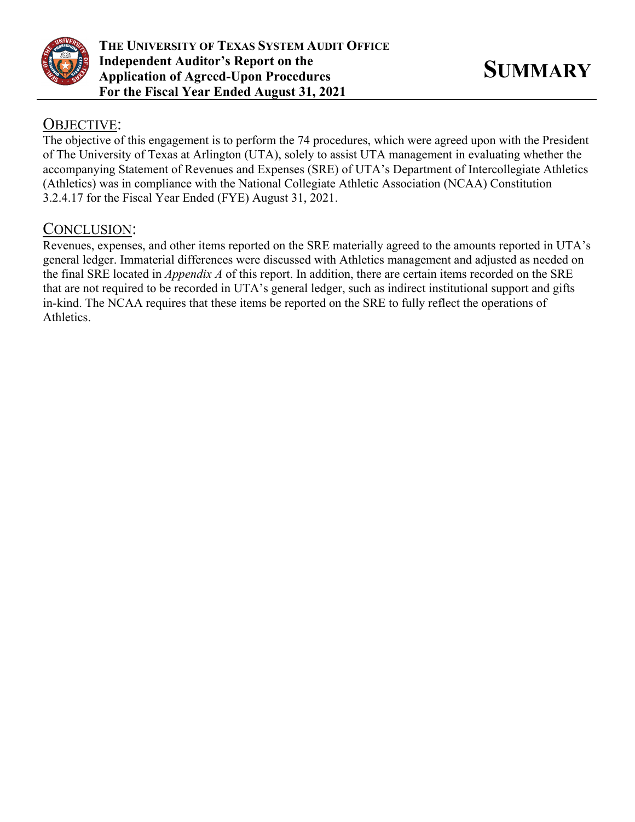

# OBJECTIVE:

The objective of this engagement is to perform the 74 procedures, which were agreed upon with the President of The University of Texas at Arlington (UTA), solely to assist UTA management in evaluating whether the accompanying Statement of Revenues and Expenses (SRE) of UTA's Department of Intercollegiate Athletics (Athletics) was in compliance with the National Collegiate Athletic Association (NCAA) Constitution 3.2.4.17 for the Fiscal Year Ended (FYE) August 31, 2021.

# CONCLUSION:

Revenues, expenses, and other items reported on the SRE materially agreed to the amounts reported in UTA's general ledger. Immaterial differences were discussed with Athletics management and adjusted as needed on the final SRE located in *Appendix A* of this report. In addition, there are certain items recorded on the SRE that are not required to be recorded in UTA's general ledger, such as indirect institutional support and gifts in-kind. The NCAA requires that these items be reported on the SRE to fully reflect the operations of Athletics.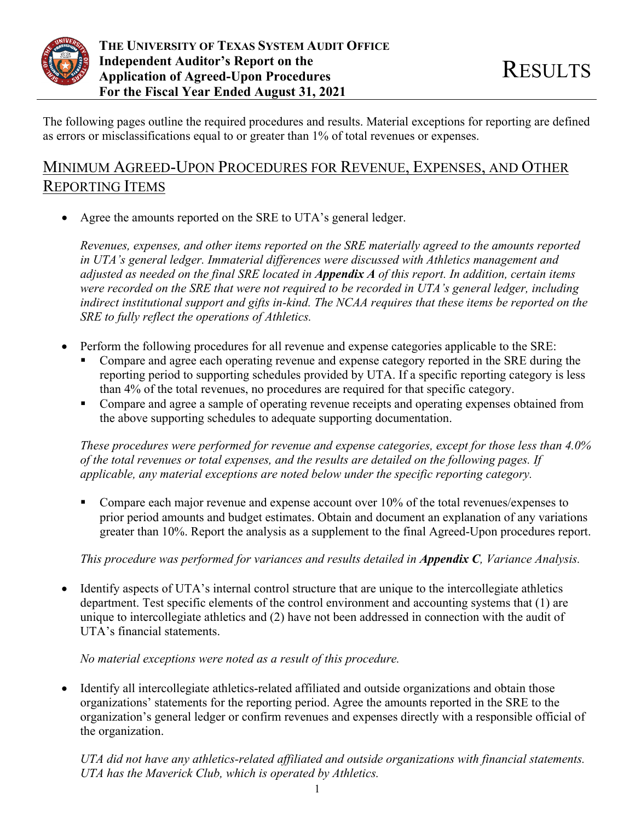

The following pages outline the required procedures and results. Material exceptions for reporting are defined as errors or misclassifications equal to or greater than 1% of total revenues or expenses.

# MINIMUM AGREED-UPON PROCEDURES FOR REVENUE, EXPENSES, AND OTHER REPORTING ITEMS

Agree the amounts reported on the SRE to UTA's general ledger.

*Revenues, expenses, and other items reported on the SRE materially agreed to the amounts reported in UTA's general ledger. Immaterial differences were discussed with Athletics management and adjusted as needed on the final SRE located in Appendix A of this report. In addition, certain items were recorded on the SRE that were not required to be recorded in UTA's general ledger, including indirect institutional support and gifts in-kind. The NCAA requires that these items be reported on the SRE to fully reflect the operations of Athletics.* 

- Perform the following procedures for all revenue and expense categories applicable to the SRE:
	- Compare and agree each operating revenue and expense category reported in the SRE during the reporting period to supporting schedules provided by UTA. If a specific reporting category is less than 4% of the total revenues, no procedures are required for that specific category.
	- Compare and agree a sample of operating revenue receipts and operating expenses obtained from the above supporting schedules to adequate supporting documentation.

*These procedures were performed for revenue and expense categories, except for those less than 4.0% of the total revenues or total expenses, and the results are detailed on the following pages. If applicable, any material exceptions are noted below under the specific reporting category.* 

Compare each major revenue and expense account over  $10\%$  of the total revenues/expenses to prior period amounts and budget estimates. Obtain and document an explanation of any variations greater than 10%. Report the analysis as a supplement to the final Agreed-Upon procedures report.

*This procedure was performed for variances and results detailed in Appendix C, Variance Analysis.* 

• Identify aspects of UTA's internal control structure that are unique to the intercollegiate athletics department. Test specific elements of the control environment and accounting systems that (1) are unique to intercollegiate athletics and (2) have not been addressed in connection with the audit of UTA's financial statements.

## *No material exceptions were noted as a result of this procedure.*

• Identify all intercollegiate athletics-related affiliated and outside organizations and obtain those organizations' statements for the reporting period. Agree the amounts reported in the SRE to the organization's general ledger or confirm revenues and expenses directly with a responsible official of the organization.

*UTA did not have any athletics-related affiliated and outside organizations with financial statements. UTA has the Maverick Club, which is operated by Athletics.*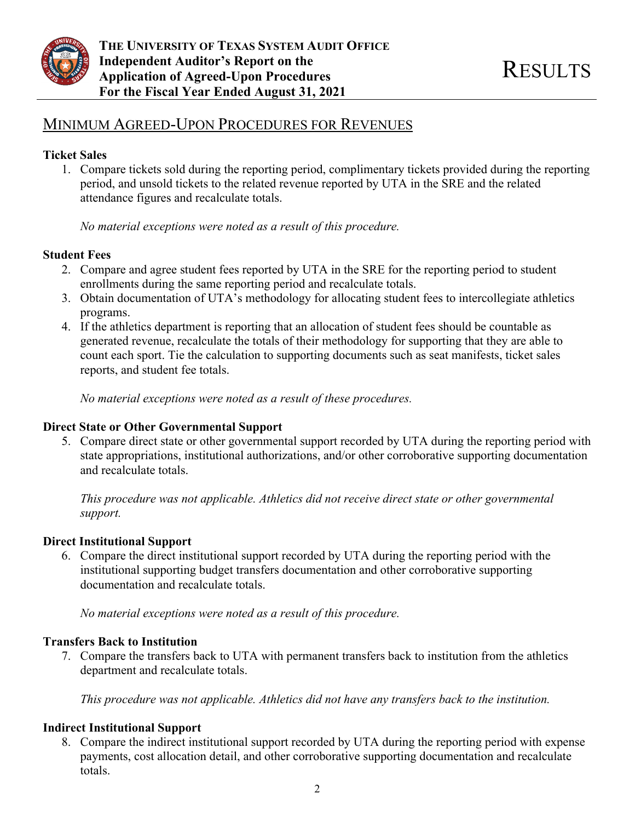

# MINIMUM AGREED-UPON PROCEDURES FOR REVENUES

## **Ticket Sales**

1. Compare tickets sold during the reporting period, complimentary tickets provided during the reporting period, and unsold tickets to the related revenue reported by UTA in the SRE and the related attendance figures and recalculate totals.

*No material exceptions were noted as a result of this procedure.* 

## **Student Fees**

- 2. Compare and agree student fees reported by UTA in the SRE for the reporting period to student enrollments during the same reporting period and recalculate totals.
- 3. Obtain documentation of UTA's methodology for allocating student fees to intercollegiate athletics programs.
- 4. If the athletics department is reporting that an allocation of student fees should be countable as generated revenue, recalculate the totals of their methodology for supporting that they are able to count each sport. Tie the calculation to supporting documents such as seat manifests, ticket sales reports, and student fee totals.

*No material exceptions were noted as a result of these procedures.* 

## **Direct State or Other Governmental Support**

5. Compare direct state or other governmental support recorded by UTA during the reporting period with state appropriations, institutional authorizations, and/or other corroborative supporting documentation and recalculate totals.

*This procedure was not applicable. Athletics did not receive direct state or other governmental support.* 

## **Direct Institutional Support**

6. Compare the direct institutional support recorded by UTA during the reporting period with the institutional supporting budget transfers documentation and other corroborative supporting documentation and recalculate totals.

*No material exceptions were noted as a result of this procedure.* 

## **Transfers Back to Institution**

7. Compare the transfers back to UTA with permanent transfers back to institution from the athletics department and recalculate totals.

*This procedure was not applicable. Athletics did not have any transfers back to the institution.* 

## **Indirect Institutional Support**

8. Compare the indirect institutional support recorded by UTA during the reporting period with expense payments, cost allocation detail, and other corroborative supporting documentation and recalculate totals.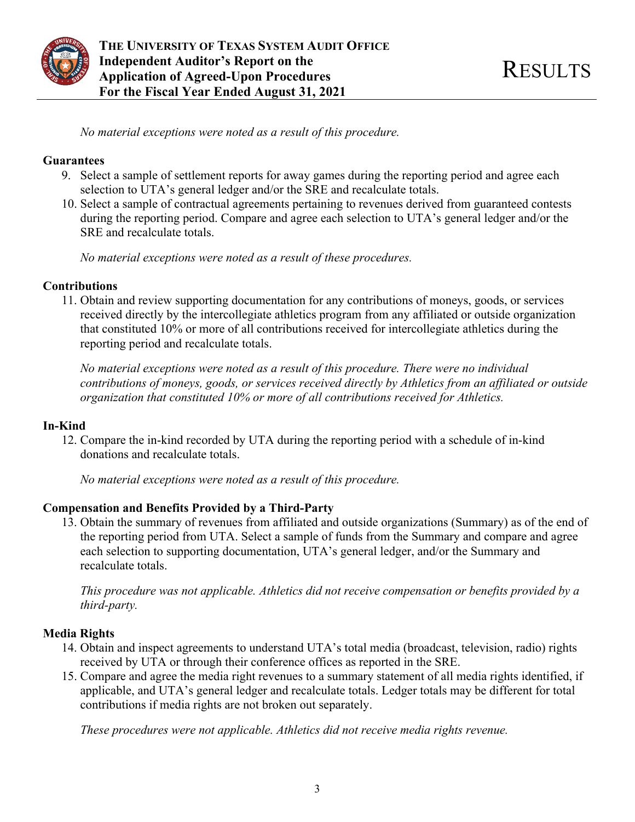

*No material exceptions were noted as a result of this procedure.* 

### **Guarantees**

- 9. Select a sample of settlement reports for away games during the reporting period and agree each selection to UTA's general ledger and/or the SRE and recalculate totals.
- 10. Select a sample of contractual agreements pertaining to revenues derived from guaranteed contests during the reporting period. Compare and agree each selection to UTA's general ledger and/or the SRE and recalculate totals.

*No material exceptions were noted as a result of these procedures.* 

### **Contributions**

11. Obtain and review supporting documentation for any contributions of moneys, goods, or services received directly by the intercollegiate athletics program from any affiliated or outside organization that constituted 10% or more of all contributions received for intercollegiate athletics during the reporting period and recalculate totals.

*No material exceptions were noted as a result of this procedure. There were no individual contributions of moneys, goods, or services received directly by Athletics from an affiliated or outside organization that constituted 10% or more of all contributions received for Athletics.* 

## **In-Kind**

12. Compare the in-kind recorded by UTA during the reporting period with a schedule of in-kind donations and recalculate totals.

*No material exceptions were noted as a result of this procedure.* 

## **Compensation and Benefits Provided by a Third-Party**

13. Obtain the summary of revenues from affiliated and outside organizations (Summary) as of the end of the reporting period from UTA. Select a sample of funds from the Summary and compare and agree each selection to supporting documentation, UTA's general ledger, and/or the Summary and recalculate totals.

*This procedure was not applicable. Athletics did not receive compensation or benefits provided by a third-party.* 

## **Media Rights**

- 14. Obtain and inspect agreements to understand UTA's total media (broadcast, television, radio) rights received by UTA or through their conference offices as reported in the SRE.
- 15. Compare and agree the media right revenues to a summary statement of all media rights identified, if applicable, and UTA's general ledger and recalculate totals. Ledger totals may be different for total contributions if media rights are not broken out separately.

*These procedures were not applicable. Athletics did not receive media rights revenue.*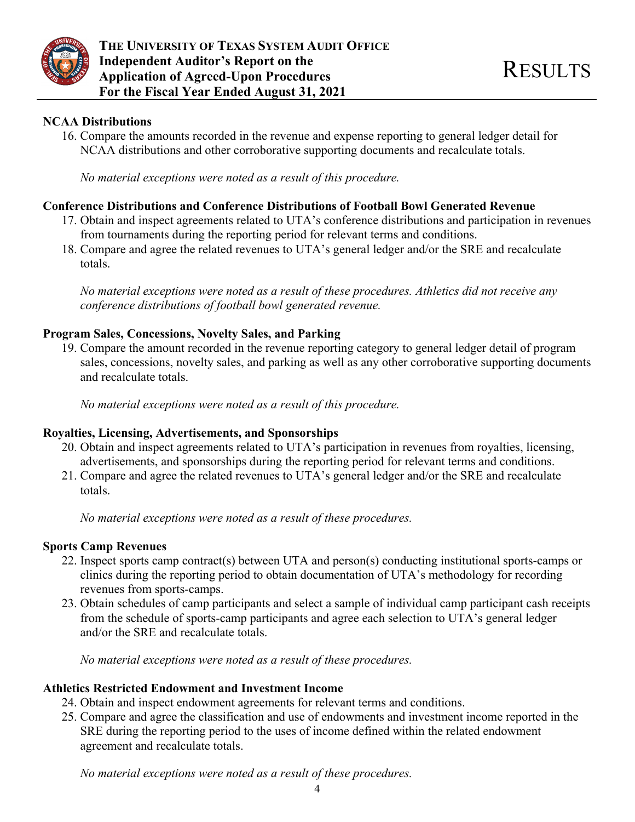

## **NCAA Distributions**

16. Compare the amounts recorded in the revenue and expense reporting to general ledger detail for NCAA distributions and other corroborative supporting documents and recalculate totals.

*No material exceptions were noted as a result of this procedure.* 

## **Conference Distributions and Conference Distributions of Football Bowl Generated Revenue**

- 17. Obtain and inspect agreements related to UTA's conference distributions and participation in revenues from tournaments during the reporting period for relevant terms and conditions.
- 18. Compare and agree the related revenues to UTA's general ledger and/or the SRE and recalculate totals.

*No material exceptions were noted as a result of these procedures. Athletics did not receive any conference distributions of football bowl generated revenue.* 

## **Program Sales, Concessions, Novelty Sales, and Parking**

19. Compare the amount recorded in the revenue reporting category to general ledger detail of program sales, concessions, novelty sales, and parking as well as any other corroborative supporting documents and recalculate totals.

*No material exceptions were noted as a result of this procedure.* 

### **Royalties, Licensing, Advertisements, and Sponsorships**

- 20. Obtain and inspect agreements related to UTA's participation in revenues from royalties, licensing, advertisements, and sponsorships during the reporting period for relevant terms and conditions.
- 21. Compare and agree the related revenues to UTA's general ledger and/or the SRE and recalculate totals.

*No material exceptions were noted as a result of these procedures.* 

## **Sports Camp Revenues**

- 22. Inspect sports camp contract(s) between UTA and person(s) conducting institutional sports-camps or clinics during the reporting period to obtain documentation of UTA's methodology for recording revenues from sports-camps.
- 23. Obtain schedules of camp participants and select a sample of individual camp participant cash receipts from the schedule of sports-camp participants and agree each selection to UTA's general ledger and/or the SRE and recalculate totals.

*No material exceptions were noted as a result of these procedures.* 

### **Athletics Restricted Endowment and Investment Income**

- 24. Obtain and inspect endowment agreements for relevant terms and conditions.
- 25. Compare and agree the classification and use of endowments and investment income reported in the SRE during the reporting period to the uses of income defined within the related endowment agreement and recalculate totals.

*No material exceptions were noted as a result of these procedures.*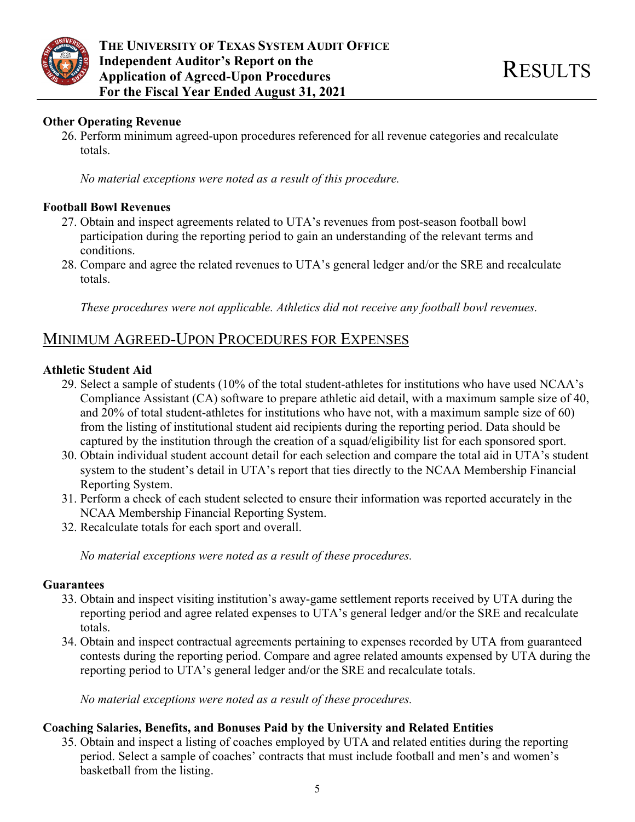

## **Other Operating Revenue**

26. Perform minimum agreed-upon procedures referenced for all revenue categories and recalculate totals.

*No material exceptions were noted as a result of this procedure.* 

### **Football Bowl Revenues**

- 27. Obtain and inspect agreements related to UTA's revenues from post-season football bowl participation during the reporting period to gain an understanding of the relevant terms and conditions.
- 28. Compare and agree the related revenues to UTA's general ledger and/or the SRE and recalculate totals.

*These procedures were not applicable. Athletics did not receive any football bowl revenues.* 

# MINIMUM AGREED-UPON PROCEDURES FOR EXPENSES

### **Athletic Student Aid**

- 29. Select a sample of students (10% of the total student-athletes for institutions who have used NCAA's Compliance Assistant (CA) software to prepare athletic aid detail, with a maximum sample size of 40, and 20% of total student-athletes for institutions who have not, with a maximum sample size of 60) from the listing of institutional student aid recipients during the reporting period. Data should be captured by the institution through the creation of a squad/eligibility list for each sponsored sport.
- 30. Obtain individual student account detail for each selection and compare the total aid in UTA's student system to the student's detail in UTA's report that ties directly to the NCAA Membership Financial Reporting System.
- 31. Perform a check of each student selected to ensure their information was reported accurately in the NCAA Membership Financial Reporting System.
- 32. Recalculate totals for each sport and overall.

*No material exceptions were noted as a result of these procedures.* 

### **Guarantees**

- 33. Obtain and inspect visiting institution's away-game settlement reports received by UTA during the reporting period and agree related expenses to UTA's general ledger and/or the SRE and recalculate totals.
- 34. Obtain and inspect contractual agreements pertaining to expenses recorded by UTA from guaranteed contests during the reporting period. Compare and agree related amounts expensed by UTA during the reporting period to UTA's general ledger and/or the SRE and recalculate totals.

*No material exceptions were noted as a result of these procedures.* 

### **Coaching Salaries, Benefits, and Bonuses Paid by the University and Related Entities**

35. Obtain and inspect a listing of coaches employed by UTA and related entities during the reporting period. Select a sample of coaches' contracts that must include football and men's and women's basketball from the listing.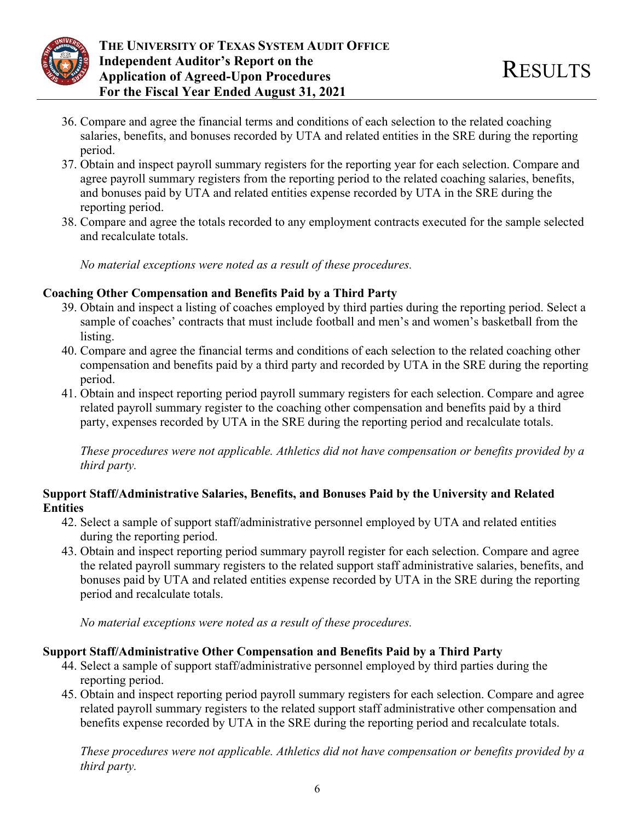

- 36. Compare and agree the financial terms and conditions of each selection to the related coaching salaries, benefits, and bonuses recorded by UTA and related entities in the SRE during the reporting period.
- 37. Obtain and inspect payroll summary registers for the reporting year for each selection. Compare and agree payroll summary registers from the reporting period to the related coaching salaries, benefits, and bonuses paid by UTA and related entities expense recorded by UTA in the SRE during the reporting period.
- 38. Compare and agree the totals recorded to any employment contracts executed for the sample selected and recalculate totals.

*No material exceptions were noted as a result of these procedures.* 

## **Coaching Other Compensation and Benefits Paid by a Third Party**

- 39. Obtain and inspect a listing of coaches employed by third parties during the reporting period. Select a sample of coaches' contracts that must include football and men's and women's basketball from the listing.
- 40. Compare and agree the financial terms and conditions of each selection to the related coaching other compensation and benefits paid by a third party and recorded by UTA in the SRE during the reporting period.
- 41. Obtain and inspect reporting period payroll summary registers for each selection. Compare and agree related payroll summary register to the coaching other compensation and benefits paid by a third party, expenses recorded by UTA in the SRE during the reporting period and recalculate totals.

*These procedures were not applicable. Athletics did not have compensation or benefits provided by a third party.* 

## **Support Staff/Administrative Salaries, Benefits, and Bonuses Paid by the University and Related Entities**

- 42. Select a sample of support staff/administrative personnel employed by UTA and related entities during the reporting period.
- 43. Obtain and inspect reporting period summary payroll register for each selection. Compare and agree the related payroll summary registers to the related support staff administrative salaries, benefits, and bonuses paid by UTA and related entities expense recorded by UTA in the SRE during the reporting period and recalculate totals.

*No material exceptions were noted as a result of these procedures.* 

## **Support Staff/Administrative Other Compensation and Benefits Paid by a Third Party**

- 44. Select a sample of support staff/administrative personnel employed by third parties during the reporting period.
- 45. Obtain and inspect reporting period payroll summary registers for each selection. Compare and agree related payroll summary registers to the related support staff administrative other compensation and benefits expense recorded by UTA in the SRE during the reporting period and recalculate totals.

*These procedures were not applicable. Athletics did not have compensation or benefits provided by a third party.*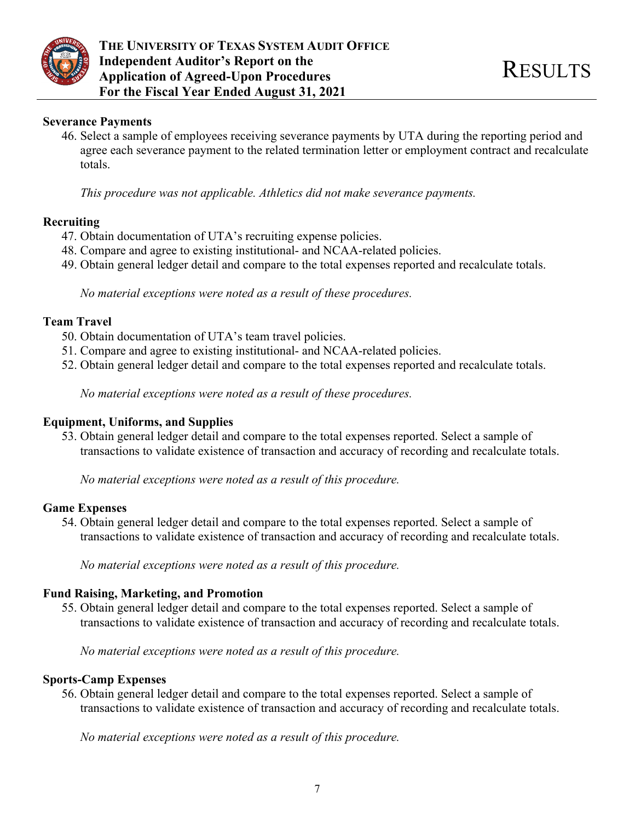

#### **Severance Payments**

46. Select a sample of employees receiving severance payments by UTA during the reporting period and agree each severance payment to the related termination letter or employment contract and recalculate totals.

*This procedure was not applicable. Athletics did not make severance payments.* 

#### **Recruiting**

- 47. Obtain documentation of UTA's recruiting expense policies.
- 48. Compare and agree to existing institutional- and NCAA-related policies.
- 49. Obtain general ledger detail and compare to the total expenses reported and recalculate totals.

*No material exceptions were noted as a result of these procedures.* 

#### **Team Travel**

- 50. Obtain documentation of UTA's team travel policies.
- 51. Compare and agree to existing institutional- and NCAA-related policies.
- 52. Obtain general ledger detail and compare to the total expenses reported and recalculate totals.

*No material exceptions were noted as a result of these procedures.* 

#### **Equipment, Uniforms, and Supplies**

53. Obtain general ledger detail and compare to the total expenses reported. Select a sample of transactions to validate existence of transaction and accuracy of recording and recalculate totals.

*No material exceptions were noted as a result of this procedure.* 

#### **Game Expenses**

54. Obtain general ledger detail and compare to the total expenses reported. Select a sample of transactions to validate existence of transaction and accuracy of recording and recalculate totals.

*No material exceptions were noted as a result of this procedure.* 

#### **Fund Raising, Marketing, and Promotion**

55. Obtain general ledger detail and compare to the total expenses reported. Select a sample of transactions to validate existence of transaction and accuracy of recording and recalculate totals.

*No material exceptions were noted as a result of this procedure.* 

#### **Sports-Camp Expenses**

56. Obtain general ledger detail and compare to the total expenses reported. Select a sample of transactions to validate existence of transaction and accuracy of recording and recalculate totals.

*No material exceptions were noted as a result of this procedure.*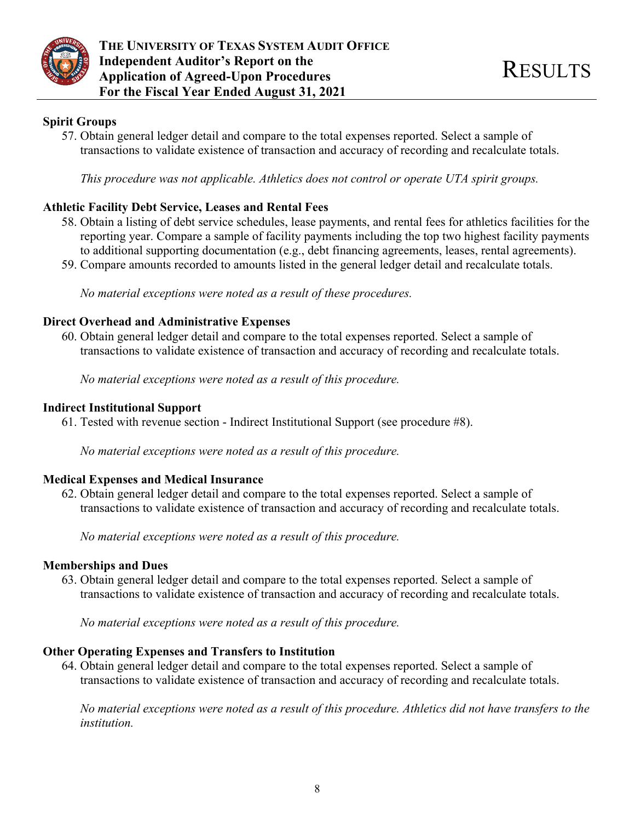

## **Spirit Groups**

57. Obtain general ledger detail and compare to the total expenses reported. Select a sample of transactions to validate existence of transaction and accuracy of recording and recalculate totals.

*This procedure was not applicable. Athletics does not control or operate UTA spirit groups.* 

## **Athletic Facility Debt Service, Leases and Rental Fees**

- 58. Obtain a listing of debt service schedules, lease payments, and rental fees for athletics facilities for the reporting year. Compare a sample of facility payments including the top two highest facility payments to additional supporting documentation (e.g., debt financing agreements, leases, rental agreements).
- 59. Compare amounts recorded to amounts listed in the general ledger detail and recalculate totals.

*No material exceptions were noted as a result of these procedures.* 

## **Direct Overhead and Administrative Expenses**

60. Obtain general ledger detail and compare to the total expenses reported. Select a sample of transactions to validate existence of transaction and accuracy of recording and recalculate totals.

*No material exceptions were noted as a result of this procedure.* 

## **Indirect Institutional Support**

61. Tested with revenue section - Indirect Institutional Support (see procedure #8).

*No material exceptions were noted as a result of this procedure.* 

## **Medical Expenses and Medical Insurance**

62. Obtain general ledger detail and compare to the total expenses reported. Select a sample of transactions to validate existence of transaction and accuracy of recording and recalculate totals.

*No material exceptions were noted as a result of this procedure.* 

## **Memberships and Dues**

63. Obtain general ledger detail and compare to the total expenses reported. Select a sample of transactions to validate existence of transaction and accuracy of recording and recalculate totals.

*No material exceptions were noted as a result of this procedure.* 

## **Other Operating Expenses and Transfers to Institution**

64. Obtain general ledger detail and compare to the total expenses reported. Select a sample of transactions to validate existence of transaction and accuracy of recording and recalculate totals.

*No material exceptions were noted as a result of this procedure. Athletics did not have transfers to the institution.*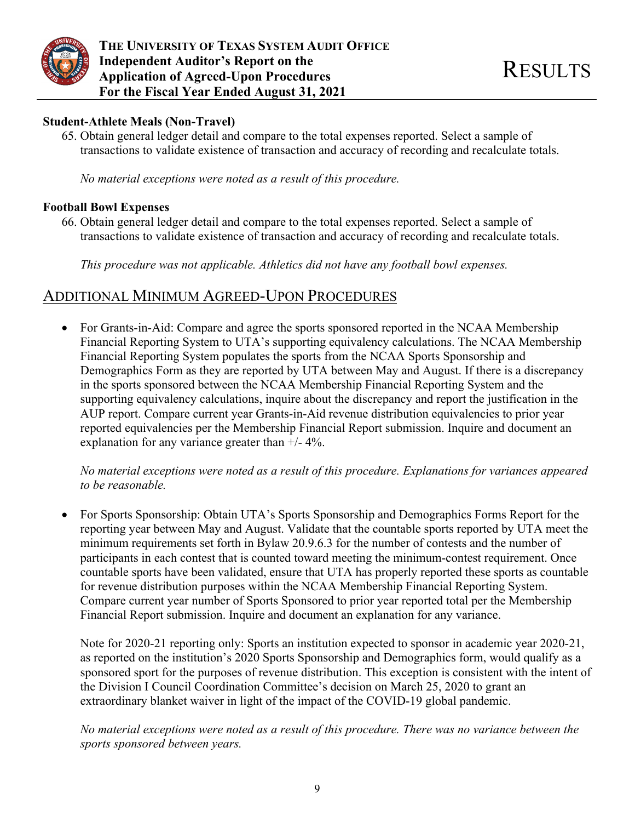

## **Student-Athlete Meals (Non-Travel)**

65. Obtain general ledger detail and compare to the total expenses reported. Select a sample of transactions to validate existence of transaction and accuracy of recording and recalculate totals.

*No material exceptions were noted as a result of this procedure.* 

### **Football Bowl Expenses**

66. Obtain general ledger detail and compare to the total expenses reported. Select a sample of transactions to validate existence of transaction and accuracy of recording and recalculate totals.

*This procedure was not applicable. Athletics did not have any football bowl expenses.* 

# ADDITIONAL MINIMUM AGREED-UPON PROCEDURES

• For Grants-in-Aid: Compare and agree the sports sponsored reported in the NCAA Membership Financial Reporting System to UTA's supporting equivalency calculations. The NCAA Membership Financial Reporting System populates the sports from the NCAA Sports Sponsorship and Demographics Form as they are reported by UTA between May and August. If there is a discrepancy in the sports sponsored between the NCAA Membership Financial Reporting System and the supporting equivalency calculations, inquire about the discrepancy and report the justification in the AUP report. Compare current year Grants-in-Aid revenue distribution equivalencies to prior year reported equivalencies per the Membership Financial Report submission. Inquire and document an explanation for any variance greater than  $+/- 4\%$ .

*No material exceptions were noted as a result of this procedure. Explanations for variances appeared to be reasonable.* 

 For Sports Sponsorship: Obtain UTA's Sports Sponsorship and Demographics Forms Report for the reporting year between May and August. Validate that the countable sports reported by UTA meet the minimum requirements set forth in Bylaw 20.9.6.3 for the number of contests and the number of participants in each contest that is counted toward meeting the minimum-contest requirement. Once countable sports have been validated, ensure that UTA has properly reported these sports as countable for revenue distribution purposes within the NCAA Membership Financial Reporting System. Compare current year number of Sports Sponsored to prior year reported total per the Membership Financial Report submission. Inquire and document an explanation for any variance.

Note for 2020-21 reporting only: Sports an institution expected to sponsor in academic year 2020-21, as reported on the institution's 2020 Sports Sponsorship and Demographics form, would qualify as a sponsored sport for the purposes of revenue distribution. This exception is consistent with the intent of the Division I Council Coordination Committee's decision on March 25, 2020 to grant an extraordinary blanket waiver in light of the impact of the COVID-19 global pandemic.

*No material exceptions were noted as a result of this procedure. There was no variance between the sports sponsored between years.*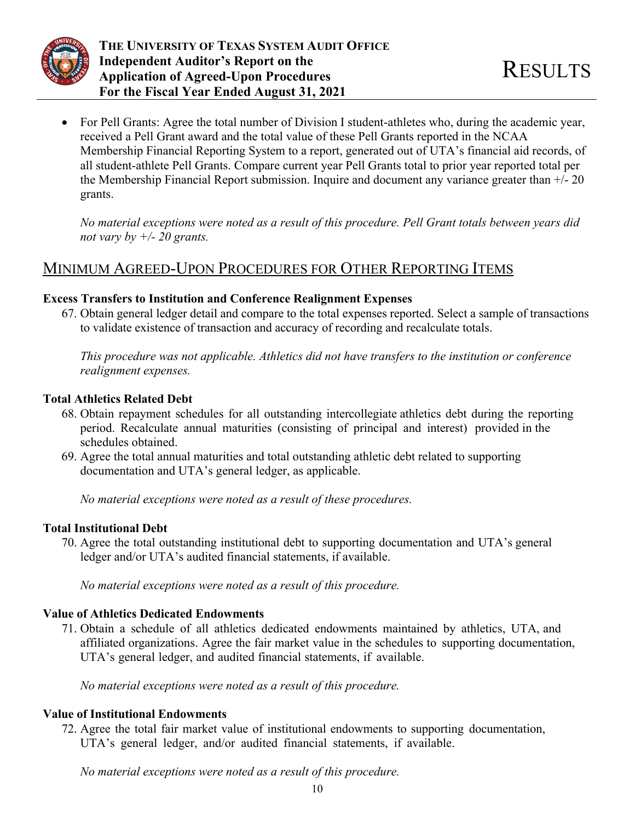

 For Pell Grants: Agree the total number of Division I student-athletes who, during the academic year, received a Pell Grant award and the total value of these Pell Grants reported in the NCAA Membership Financial Reporting System to a report, generated out of UTA's financial aid records, of all student-athlete Pell Grants. Compare current year Pell Grants total to prior year reported total per the Membership Financial Report submission. Inquire and document any variance greater than +/- 20 grants.

*No material exceptions were noted as a result of this procedure. Pell Grant totals between years did not vary by +/- 20 grants.* 

# MINIMUM AGREED-UPON PROCEDURES FOR OTHER REPORTING ITEMS

## **Excess Transfers to Institution and Conference Realignment Expenses**

67. Obtain general ledger detail and compare to the total expenses reported. Select a sample of transactions to validate existence of transaction and accuracy of recording and recalculate totals.

*This procedure was not applicable. Athletics did not have transfers to the institution or conference realignment expenses.* 

## **Total Athletics Related Debt**

- 68. Obtain repayment schedules for all outstanding intercollegiate athletics debt during the reporting period. Recalculate annual maturities (consisting of principal and interest) provided in the schedules obtained.
- 69. Agree the total annual maturities and total outstanding athletic debt related to supporting documentation and UTA's general ledger, as applicable.

*No material exceptions were noted as a result of these procedures.* 

## **Total Institutional Debt**

70. Agree the total outstanding institutional debt to supporting documentation and UTA's general ledger and/or UTA's audited financial statements, if available.

*No material exceptions were noted as a result of this procedure.* 

## **Value of Athletics Dedicated Endowments**

71. Obtain a schedule of all athletics dedicated endowments maintained by athletics, UTA, and affiliated organizations. Agree the fair market value in the schedules to supporting documentation, UTA's general ledger, and audited financial statements, if available.

*No material exceptions were noted as a result of this procedure.* 

## **Value of Institutional Endowments**

72. Agree the total fair market value of institutional endowments to supporting documentation, UTA's general ledger, and/or audited financial statements, if available.

*No material exceptions were noted as a result of this procedure.*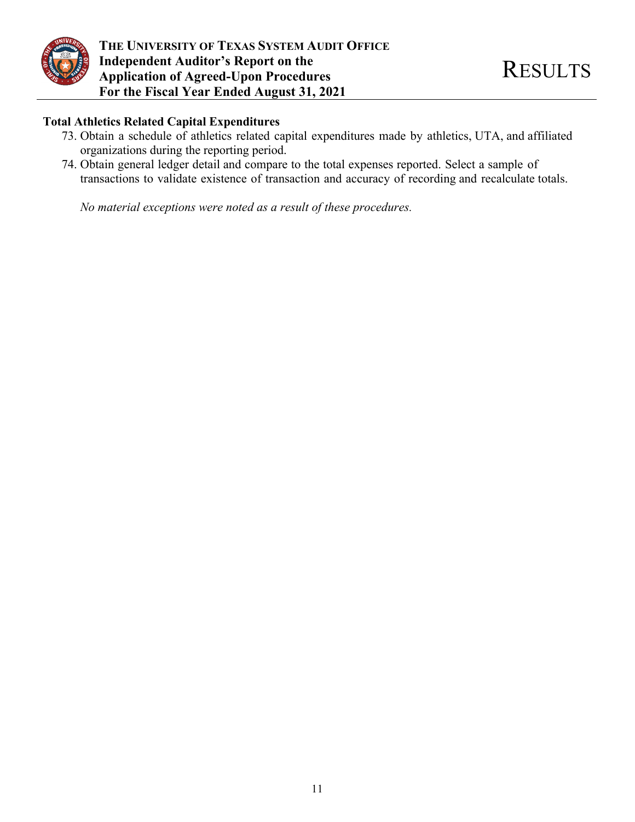

**THE UNIVERSITY OF TEXAS SYSTEM AUDIT OFFICE Independent Auditor's Report on the The Independent Auditor's Report on the Application of Agreed-Upon Procedures** and RESULTS **For the Fiscal Year Ended August 31, 2021** 

### **Total Athletics Related Capital Expenditures**

- 73. Obtain a schedule of athletics related capital expenditures made by athletics, UTA, and affiliated organizations during the reporting period.
- 74. Obtain general ledger detail and compare to the total expenses reported. Select a sample of transactions to validate existence of transaction and accuracy of recording and recalculate totals.

*No material exceptions were noted as a result of these procedures.*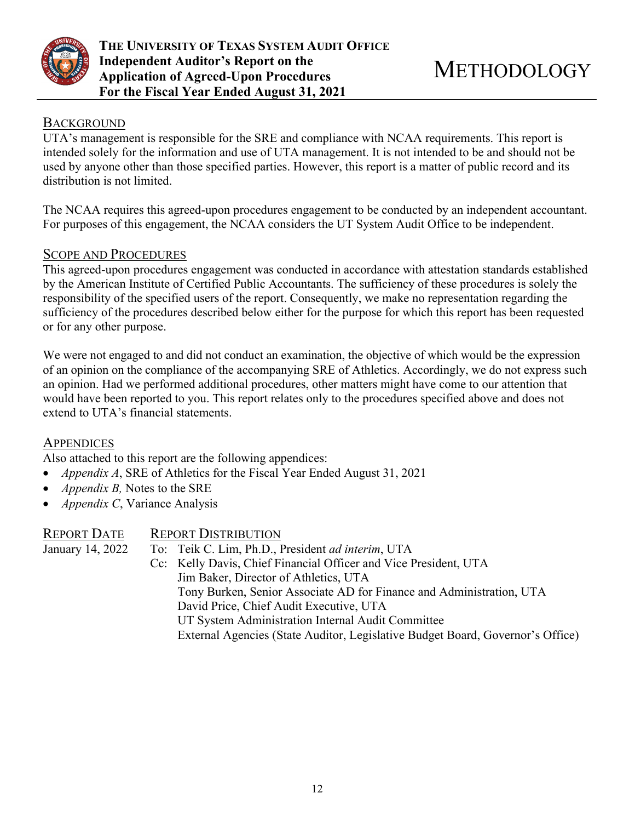

## **BACKGROUND**

UTA's management is responsible for the SRE and compliance with NCAA requirements. This report is intended solely for the information and use of UTA management. It is not intended to be and should not be used by anyone other than those specified parties. However, this report is a matter of public record and its distribution is not limited.

The NCAA requires this agreed-upon procedures engagement to be conducted by an independent accountant. For purposes of this engagement, the NCAA considers the UT System Audit Office to be independent.

## SCOPE AND PROCEDURES

This agreed-upon procedures engagement was conducted in accordance with attestation standards established by the American Institute of Certified Public Accountants. The sufficiency of these procedures is solely the responsibility of the specified users of the report. Consequently, we make no representation regarding the sufficiency of the procedures described below either for the purpose for which this report has been requested or for any other purpose.

We were not engaged to and did not conduct an examination, the objective of which would be the expression of an opinion on the compliance of the accompanying SRE of Athletics. Accordingly, we do not express such an opinion. Had we performed additional procedures, other matters might have come to our attention that would have been reported to you. This report relates only to the procedures specified above and does not extend to UTA's financial statements.

### **APPENDICES**

Also attached to this report are the following appendices:

- *Appendix A*, SRE of Athletics for the Fiscal Year Ended August 31, 2021
- *Appendix B,* Notes to the SRE
- *Appendix C*, Variance Analysis

| <b>REPORT DISTRIBUTION</b>                                                     |
|--------------------------------------------------------------------------------|
| To: Teik C. Lim, Ph.D., President ad interim, UTA                              |
| Cc: Kelly Davis, Chief Financial Officer and Vice President, UTA               |
| Jim Baker, Director of Athletics, UTA                                          |
| Tony Burken, Senior Associate AD for Finance and Administration, UTA           |
| David Price, Chief Audit Executive, UTA                                        |
| UT System Administration Internal Audit Committee                              |
| External Agencies (State Auditor, Legislative Budget Board, Governor's Office) |
|                                                                                |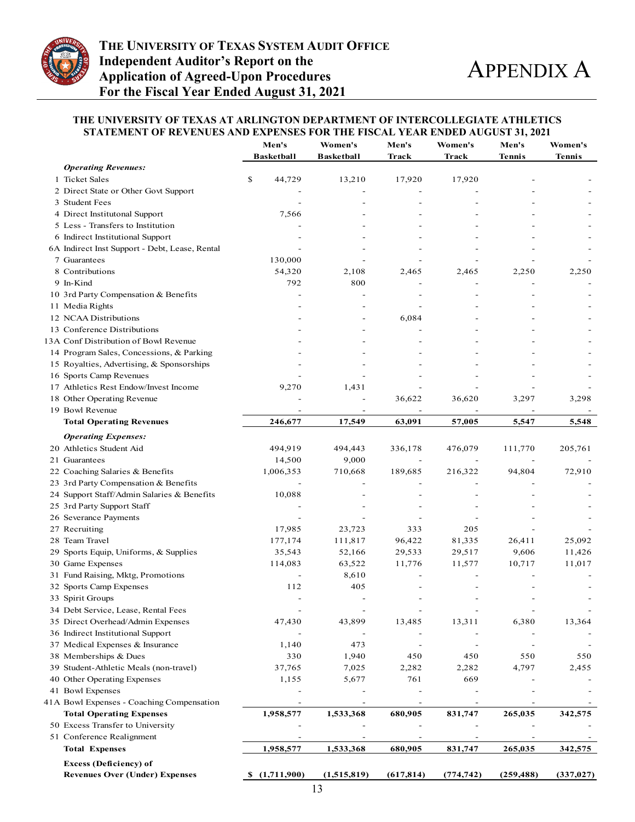

#### **THE UNIVERSITY OF TEXAS AT ARLINGTON DEPARTMENT OF INTERCOLLEGIATE ATHLETICS STATEMENT OF REVENUES AND EXPENSES FOR THE FISCAL YEAR ENDED AUGUST 31, 2021**

|                                                                        | Men's<br><b>Basketball</b> | Women's<br><b>Basketball</b> | Men's<br>Track           | Women's<br>Track         | Men's<br>Tennis          | Women's<br><b>Tennis</b> |
|------------------------------------------------------------------------|----------------------------|------------------------------|--------------------------|--------------------------|--------------------------|--------------------------|
| <b>Operating Revenues:</b>                                             |                            |                              |                          |                          |                          |                          |
| 1 Ticket Sales                                                         | \$<br>44,729               | 13,210                       | 17,920                   | 17,920                   |                          |                          |
| 2 Direct State or Other Govt Support                                   |                            |                              |                          |                          |                          |                          |
| 3 Student Fees                                                         |                            |                              |                          |                          |                          |                          |
| 4 Direct Institutonal Support                                          | 7,566                      |                              |                          |                          |                          |                          |
| 5 Less - Transfers to Institution                                      |                            |                              |                          |                          |                          |                          |
| 6 Indirect Institutional Support                                       |                            |                              |                          |                          |                          |                          |
| 6A Indirect Inst Support - Debt, Lease, Rental                         |                            |                              |                          |                          |                          |                          |
| 7 Guarantees                                                           | 130,000                    |                              |                          |                          |                          |                          |
| 8 Contributions                                                        | 54,320                     | 2,108                        | 2,465                    | 2,465                    | 2,250                    | 2,250                    |
| 9 In-Kind                                                              | 792                        | 800                          |                          |                          |                          |                          |
| 10 3rd Party Compensation & Benefits                                   |                            |                              |                          |                          |                          |                          |
| 11 Media Rights                                                        |                            |                              |                          |                          |                          |                          |
| 12 NCAA Distributions                                                  |                            |                              | 6,084                    |                          |                          |                          |
| 13 Conference Distributions                                            |                            |                              |                          |                          |                          |                          |
| 13A Conf Distribution of Bowl Revenue                                  |                            |                              |                          |                          |                          |                          |
| 14 Program Sales, Concessions, & Parking                               |                            |                              |                          |                          |                          |                          |
|                                                                        |                            |                              |                          |                          |                          |                          |
| 15 Royalties, Advertising, & Sponsorships                              |                            |                              |                          |                          |                          |                          |
| 16 Sports Camp Revenues                                                |                            |                              |                          |                          |                          |                          |
| 17 Athletics Rest Endow/Invest Income                                  | 9,270                      | 1,431                        |                          |                          |                          |                          |
| 18 Other Operating Revenue                                             |                            |                              | 36,622                   | 36,620                   | 3,297                    | 3,298                    |
| 19 Bowl Revenue                                                        |                            | $\overline{\phantom{a}}$     |                          | $\overline{\phantom{a}}$ |                          |                          |
| <b>Total Operating Revenues</b>                                        | 246,677                    | 17,549                       | 63,091                   | 57,005                   | 5,547                    | 5,548                    |
| <b>Operating Expenses:</b>                                             |                            |                              |                          |                          |                          |                          |
| 20 Athletics Student Aid                                               | 494,919                    | 494,443                      | 336,178                  | 476,079                  | 111,770                  | 205,761                  |
| 21 Guarantees                                                          | 14,500                     | 9,000                        |                          |                          |                          |                          |
| 22 Coaching Salaries & Benefits                                        | 1,006,353                  | 710,668                      | 189,685                  | 216,322                  | 94,804                   | 72,910                   |
| 23 3rd Party Compensation & Benefits                                   |                            |                              |                          |                          |                          |                          |
| 24 Support Staff/Admin Salaries & Benefits                             | 10,088                     |                              |                          |                          |                          |                          |
| 25 3rd Party Support Staff                                             |                            |                              |                          |                          |                          |                          |
| 26 Severance Payments                                                  |                            |                              |                          |                          |                          |                          |
| 27 Recruiting                                                          | 17,985                     | 23,723                       | 333                      | 205                      |                          |                          |
| 28 Team Travel                                                         | 177,174                    | 111,817                      | 96,422                   | 81,335                   | 26,411                   | 25,092                   |
| 29 Sports Equip, Uniforms, & Supplies                                  | 35,543                     | 52,166                       | 29,533                   | 29,517                   | 9,606                    | 11,426                   |
| 30 Game Expenses                                                       | 114,083                    | 63,522                       | 11,776                   | 11,577                   | 10,717                   | 11,017                   |
| 31 Fund Raising, Mktg, Promotions                                      |                            | 8,610                        |                          |                          |                          |                          |
| 32 Sports Camp Expenses                                                | 112                        | 405                          |                          |                          |                          |                          |
| 33 Spirit Groups                                                       |                            |                              |                          |                          |                          |                          |
| 34 Debt Service, Lease, Rental Fees                                    |                            |                              |                          |                          |                          |                          |
| 35 Direct Overhead/Admin Expenses                                      | 47,430                     | 43,899                       | 13,485                   | 13,311                   | 6,380                    | 13,364                   |
| 36 Indirect Institutional Support                                      |                            |                              |                          |                          |                          |                          |
| 37 Medical Expenses & Insurance                                        | 1,140                      | 473                          |                          |                          |                          |                          |
| 38 Memberships & Dues                                                  | 330                        | 1,940                        | 450                      | 450                      | 550                      | 550                      |
| 39 Student-Athletic Meals (non-travel)                                 | 37,765                     | 7,025                        | 2,282                    | 2,282                    | 4,797                    | 2,455                    |
| 40 Other Operating Expenses                                            | 1,155                      | 5,677                        | 761                      | 669                      |                          |                          |
| 41 Bowl Expenses                                                       |                            |                              |                          |                          |                          |                          |
| 41A Bowl Expenses - Coaching Compensation                              |                            |                              |                          |                          |                          |                          |
| <b>Total Operating Expenses</b>                                        | 1,958,577                  | 1,533,368                    | 680,905                  | 831,747                  | 265,035                  | 342,575                  |
| 50 Excess Transfer to University                                       |                            |                              |                          |                          |                          |                          |
| 51 Conference Realignment                                              | $\overline{\phantom{0}}$   | $\overline{\phantom{a}}$     | $\overline{\phantom{0}}$ | $\overline{\phantom{a}}$ | $\overline{\phantom{a}}$ |                          |
| <b>Total Expenses</b>                                                  | 1,958,577                  | 1,533,368                    | 680,905                  | 831,747                  | 265,035                  | 342,575                  |
|                                                                        |                            |                              |                          |                          |                          |                          |
| <b>Excess (Deficiency) of</b><br><b>Revenues Over (Under) Expenses</b> | \$(1,711,900)              | (1,515,819)<br>12            | (617, 814)               | (774, 742)               | (259, 488)               | (337, 027)               |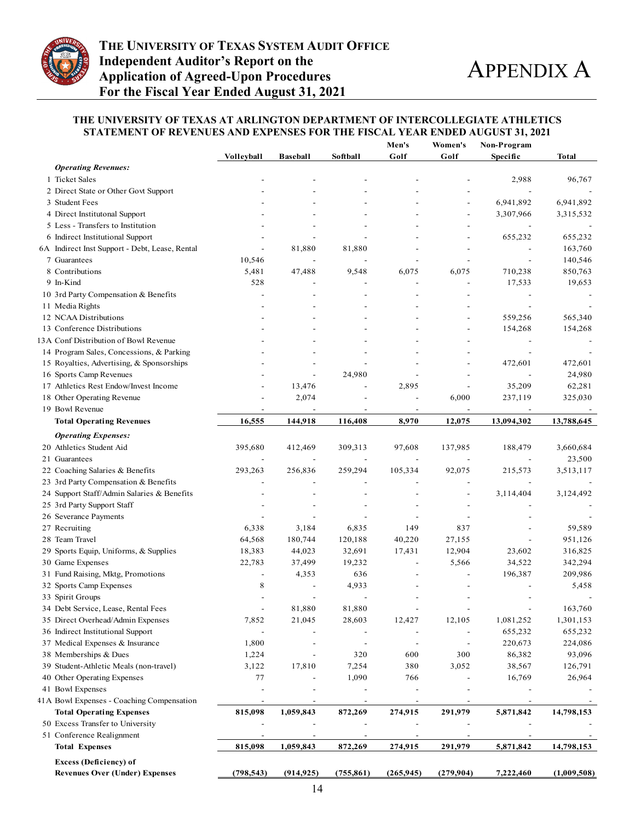

#### **THE UNIVERSITY OF TEXAS AT ARLINGTON DEPARTMENT OF INTERCOLLEGIATE ATHLETICS STATEMENT OF REVENUES AND EXPENSES FOR THE FISCAL YEAR ENDED AUGUST 31, 2021**

|                                                |                          |                 |                          | Men's                    | Women's                  | Non-Program |             |
|------------------------------------------------|--------------------------|-----------------|--------------------------|--------------------------|--------------------------|-------------|-------------|
|                                                | <b>Volleyball</b>        | <b>Baseball</b> | Softball                 | Golf                     | Golf                     | Specific    | Total       |
| <b>Operating Revenues:</b>                     |                          |                 |                          |                          |                          |             |             |
| 1 Ticket Sales                                 |                          |                 |                          |                          |                          | 2,988       | 96,767      |
| 2 Direct State or Other Govt Support           |                          |                 |                          |                          |                          |             |             |
| 3 Student Fees                                 |                          |                 |                          |                          |                          | 6,941,892   | 6,941,892   |
| 4 Direct Institutonal Support                  |                          |                 |                          |                          | ÷,                       | 3,307,966   | 3,315,532   |
| 5 Less - Transfers to Institution              |                          |                 |                          |                          |                          |             |             |
| 6 Indirect Institutional Support               |                          |                 |                          |                          |                          | 655,232     | 655,232     |
| 6A Indirect Inst Support - Debt, Lease, Rental |                          | 81,880          | 81,880                   |                          | $\overline{\phantom{a}}$ |             | 163,760     |
| 7 Guarantees                                   | 10,546                   |                 |                          |                          |                          |             | 140,546     |
| 8 Contributions                                | 5,481                    | 47,488          | 9,548                    | 6,075                    | 6,075                    | 710,238     | 850,763     |
| 9 In-Kind                                      | 528                      |                 |                          |                          |                          | 17,533      | 19,653      |
| 10 3rd Party Compensation & Benefits           |                          |                 |                          |                          |                          |             |             |
| 11 Media Rights                                |                          |                 |                          |                          |                          |             |             |
| 12 NCAA Distributions                          |                          |                 |                          |                          | $\overline{a}$           | 559,256     | 565,340     |
| 13 Conference Distributions                    |                          |                 |                          |                          | $\overline{a}$           | 154,268     | 154,268     |
| 3A Conf Distribution of Bowl Revenue           |                          |                 |                          |                          |                          |             |             |
|                                                |                          |                 |                          |                          |                          |             |             |
| 14 Program Sales, Concessions, & Parking       |                          |                 |                          |                          |                          |             |             |
| 15 Royalties, Advertising, & Sponsorships      |                          |                 |                          |                          |                          | 472,601     | 472,601     |
| 16 Sports Camp Revenues                        |                          | $\overline{a}$  | 24,980                   |                          |                          |             | 24,980      |
| 17 Athletics Rest Endow/Invest Income          |                          | 13,476          |                          | 2,895                    |                          | 35,209      | 62,281      |
| 18 Other Operating Revenue                     |                          | 2,074           | $\overline{\phantom{a}}$ | $\overline{a}$           | 6,000                    | 237,119     | 325,030     |
| 19 Bowl Revenue                                |                          |                 |                          |                          |                          |             |             |
| <b>Total Operating Revenues</b>                | 16,555                   | 144,918         | 116,408                  | 8,970                    | 12,075                   | 13,094,302  | 13,788,645  |
| <b>Operating Expenses:</b>                     |                          |                 |                          |                          |                          |             |             |
| 20 Athletics Student Aid                       | 395,680                  | 412,469         | 309,313                  | 97,608                   | 137,985                  | 188,479     | 3,660,684   |
| 21 Guarantees                                  |                          |                 |                          |                          |                          |             | 23,500      |
| 22 Coaching Salaries & Benefits                | 293,263                  | 256,836         | 259,294                  | 105,334                  | 92,075                   | 215,573     | 3,513,117   |
| 23 3rd Party Compensation & Benefits           |                          |                 |                          |                          |                          |             |             |
| 24 Support Staff/Admin Salaries & Benefits     |                          |                 |                          |                          |                          | 3,114,404   | 3,124,492   |
| 25 3rd Party Support Staff                     |                          |                 |                          |                          |                          |             |             |
| 26 Severance Payments                          |                          |                 |                          |                          |                          |             |             |
| 27 Recruiting                                  | 6,338                    | 3,184           | 6,835                    | 149                      | 837                      |             | 59,589      |
| 28 Team Travel                                 | 64,568                   | 180,744         | 120,188                  | 40,220                   | 27,155                   |             | 951,126     |
| 29 Sports Equip, Uniforms, & Supplies          | 18,383                   | 44,023          | 32,691                   | 17,431                   | 12,904                   | 23,602      | 316,825     |
| 30 Game Expenses                               |                          |                 |                          |                          |                          |             |             |
|                                                | 22,783                   | 37,499          | 19,232                   |                          | 5,566                    | 34,522      | 342,294     |
| 31 Fund Raising, Mktg, Promotions              | $\overline{\phantom{a}}$ | 4,353           | 636                      |                          |                          | 196,387     | 209,986     |
| 32 Sports Camp Expenses                        | 8                        |                 | 4,933                    |                          |                          |             | 5,458       |
| 33 Spirit Groups                               |                          | $\overline{a}$  |                          | $\overline{a}$           | $\overline{\phantom{a}}$ |             |             |
| 34 Debt Service, Lease, Rental Fees            | $\overline{\phantom{a}}$ | 81,880          | 81,880                   | $\overline{\phantom{a}}$ | $\overline{\phantom{a}}$ |             | 163,760     |
| 35 Direct Overhead/Admin Expenses              | 7,852                    | 21,045          | 28,603                   | 12,427                   | 12,105                   | 1,081,252   | 1,301,153   |
| 36 Indirect Institutional Support              |                          |                 |                          |                          |                          | 655,232     | 655,232     |
| 37 Medical Expenses & Insurance                | 1,800                    |                 |                          | $\overline{\phantom{0}}$ | $\overline{a}$           | 220,673     | 224,086     |
| 38 Memberships & Dues                          | 1,224                    | $\overline{a}$  | 320                      | 600                      | 300                      | 86,382      | 93,096      |
| 39 Student-Athletic Meals (non-travel)         | 3,122                    | 17,810          | 7,254                    | 380                      | 3,052                    | 38,567      | 126,791     |
| 40 Other Operating Expenses                    | 77                       |                 | 1,090                    | 766                      |                          | 16,769      | 26,964      |
| 41 Bowl Expenses                               |                          |                 |                          |                          |                          |             |             |
| 41A Bowl Expenses - Coaching Compensation      |                          |                 |                          |                          |                          |             |             |
| <b>Total Operating Expenses</b>                | 815,098                  | 1,059,843       | 872,269                  | 274,915                  | 291,979                  | 5,871,842   | 14,798,153  |
| 50 Excess Transfer to University               |                          |                 |                          |                          |                          |             |             |
| 51 Conference Realignment                      |                          |                 |                          |                          |                          |             |             |
| <b>Total Expenses</b>                          | 815,098                  | 1,059,843       | 872,269                  | 274,915                  | 291,979                  | 5,871,842   | 14,798,153  |
|                                                |                          |                 |                          |                          |                          |             |             |
| <b>Excess (Deficiency) of</b>                  |                          |                 |                          |                          |                          |             |             |
| <b>Revenues Over (Under) Expenses</b>          | (798, 543)               | (914, 925)      | (755, 861)               | (265, 945)               | (279,904)                | 7,222,460   | (1,009,508) |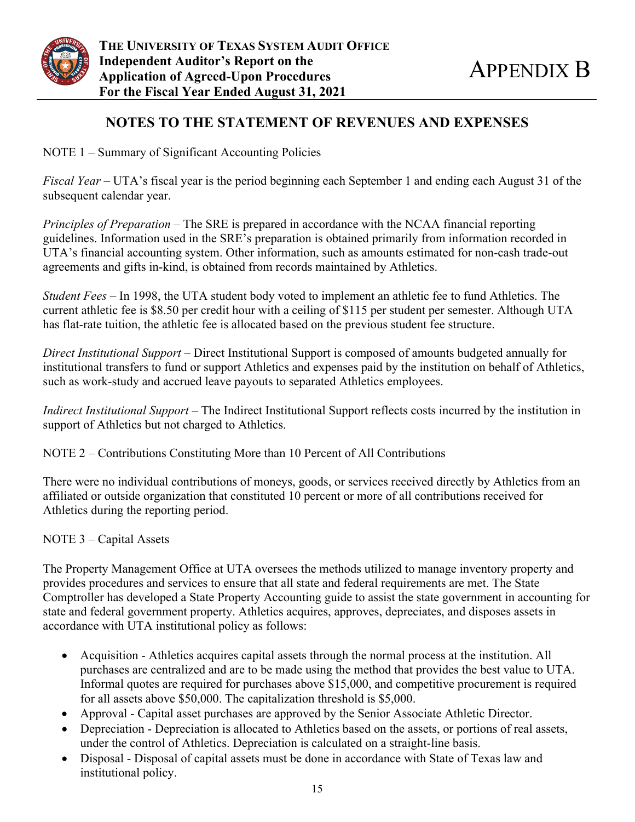

# **NOTES TO THE STATEMENT OF REVENUES AND EXPENSES**

NOTE 1 – Summary of Significant Accounting Policies

*Fiscal Year* – UTA's fiscal year is the period beginning each September 1 and ending each August 31 of the subsequent calendar year.

*Principles of Preparation* – The SRE is prepared in accordance with the NCAA financial reporting guidelines. Information used in the SRE's preparation is obtained primarily from information recorded in UTA's financial accounting system. Other information, such as amounts estimated for non-cash trade-out agreements and gifts in-kind, is obtained from records maintained by Athletics.

*Student Fees –* In 1998, the UTA student body voted to implement an athletic fee to fund Athletics. The current athletic fee is \$8.50 per credit hour with a ceiling of \$115 per student per semester. Although UTA has flat-rate tuition, the athletic fee is allocated based on the previous student fee structure.

*Direct Institutional Support* – Direct Institutional Support is composed of amounts budgeted annually for institutional transfers to fund or support Athletics and expenses paid by the institution on behalf of Athletics, such as work-study and accrued leave payouts to separated Athletics employees.

*Indirect Institutional Support* – The Indirect Institutional Support reflects costs incurred by the institution in support of Athletics but not charged to Athletics.

NOTE 2 – Contributions Constituting More than 10 Percent of All Contributions

There were no individual contributions of moneys, goods, or services received directly by Athletics from an affiliated or outside organization that constituted 10 percent or more of all contributions received for Athletics during the reporting period.

## NOTE 3 – Capital Assets

The Property Management Office at UTA oversees the methods utilized to manage inventory property and provides procedures and services to ensure that all state and federal requirements are met. The State Comptroller has developed a State Property Accounting guide to assist the state government in accounting for state and federal government property. Athletics acquires, approves, depreciates, and disposes assets in accordance with UTA institutional policy as follows:

- Acquisition Athletics acquires capital assets through the normal process at the institution. All purchases are centralized and are to be made using the method that provides the best value to UTA. Informal quotes are required for purchases above \$15,000, and competitive procurement is required for all assets above \$50,000. The capitalization threshold is \$5,000.
- Approval Capital asset purchases are approved by the Senior Associate Athletic Director.
- Depreciation Depreciation is allocated to Athletics based on the assets, or portions of real assets, under the control of Athletics. Depreciation is calculated on a straight-line basis.
- Disposal Disposal of capital assets must be done in accordance with State of Texas law and institutional policy.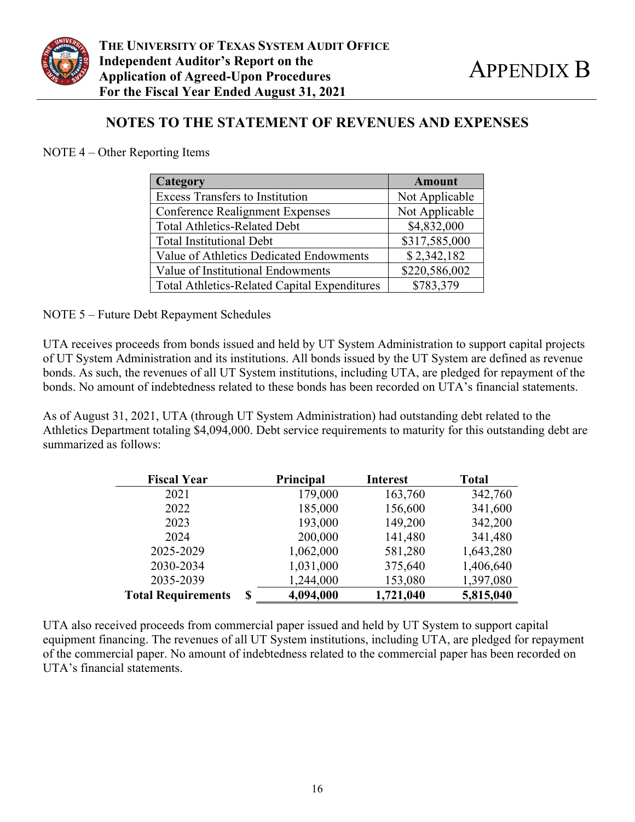

## **NOTES TO THE STATEMENT OF REVENUES AND EXPENSES**

NOTE 4 – Other Reporting Items

| Category                                            | <b>Amount</b>  |
|-----------------------------------------------------|----------------|
| <b>Excess Transfers to Institution</b>              | Not Applicable |
| <b>Conference Realignment Expenses</b>              | Not Applicable |
| <b>Total Athletics-Related Debt</b>                 | \$4,832,000    |
| <b>Total Institutional Debt</b>                     | \$317,585,000  |
| Value of Athletics Dedicated Endowments             | \$2,342,182    |
| Value of Institutional Endowments                   | \$220,586,002  |
| <b>Total Athletics-Related Capital Expenditures</b> | \$783,379      |

NOTE 5 – Future Debt Repayment Schedules

UTA receives proceeds from bonds issued and held by UT System Administration to support capital projects of UT System Administration and its institutions. All bonds issued by the UT System are defined as revenue bonds. As such, the revenues of all UT System institutions, including UTA, are pledged for repayment of the bonds. No amount of indebtedness related to these bonds has been recorded on UTA's financial statements.

As of August 31, 2021, UTA (through UT System Administration) had outstanding debt related to the Athletics Department totaling \$4,094,000. Debt service requirements to maturity for this outstanding debt are summarized as follows:

| <b>Fiscal Year</b>             | <b>Principal</b> |           | <b>Total</b> |
|--------------------------------|------------------|-----------|--------------|
| 2021                           | 179,000          | 163,760   | 342,760      |
| 2022                           | 185,000          | 156,600   | 341,600      |
| 2023                           | 193,000          | 149,200   | 342,200      |
| 2024                           | 200,000          | 141,480   | 341,480      |
| 2025-2029                      | 1,062,000        | 581,280   | 1,643,280    |
| 2030-2034                      | 1,031,000        | 375,640   | 1,406,640    |
| 2035-2039                      | 1,244,000        | 153,080   | 1,397,080    |
| <b>Total Requirements</b><br>S | 4,094,000        | 1,721,040 | 5,815,040    |

UTA also received proceeds from commercial paper issued and held by UT System to support capital equipment financing. The revenues of all UT System institutions, including UTA, are pledged for repayment of the commercial paper. No amount of indebtedness related to the commercial paper has been recorded on UTA's financial statements.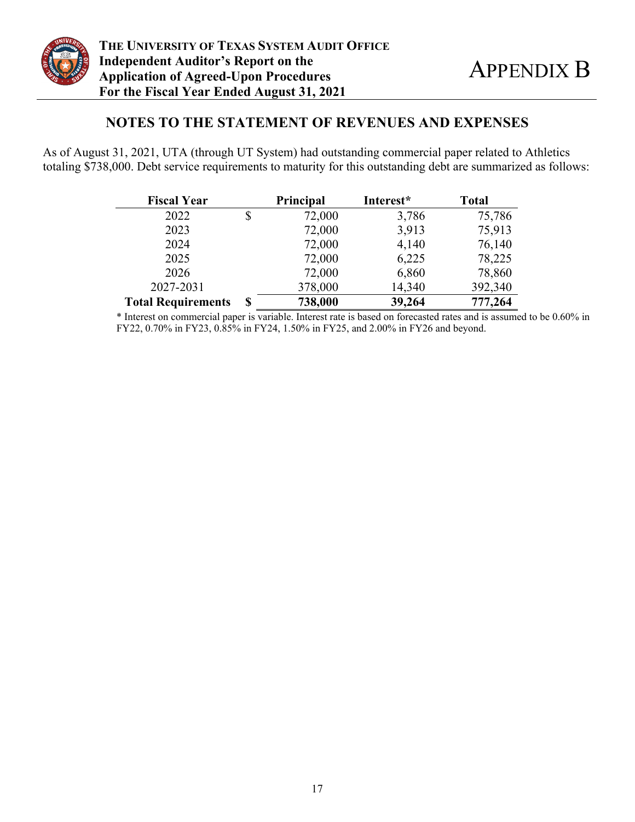

## **NOTES TO THE STATEMENT OF REVENUES AND EXPENSES**

As of August 31, 2021, UTA (through UT System) had outstanding commercial paper related to Athletics totaling \$738,000. Debt service requirements to maturity for this outstanding debt are summarized as follows:

| <b>Fiscal Year</b>        | <b>Principal</b> | Interest* | <b>Total</b> |
|---------------------------|------------------|-----------|--------------|
| 2022                      | \$<br>72,000     | 3,786     | 75,786       |
| 2023                      | 72,000           | 3,913     | 75,913       |
| 2024                      | 72,000           | 4,140     | 76,140       |
| 2025                      | 72,000           | 6,225     | 78,225       |
| 2026                      | 72,000           | 6,860     | 78,860       |
| 2027-2031                 | 378,000          | 14,340    | 392,340      |
| <b>Total Requirements</b> | \$<br>738,000    | 39,264    | 777,264      |

\* Interest on commercial paper is variable. Interest rate is based on forecasted rates and is assumed to be 0.60% in FY22, 0.70% in FY23, 0.85% in FY24, 1.50% in FY25, and 2.00% in FY26 and beyond.